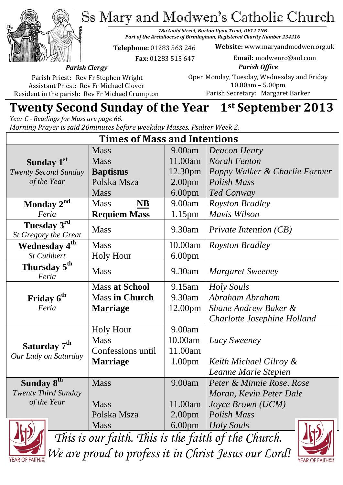Ss Mary and Modwen's Catholic Church



*78a Guild Street, Burton Upon Trent, DE14 1NB Part of the Archdiocese of Birmingham, Registered Charity Number 234216*

**Telephone:** 01283 563 246

 **Fax:** 01283 515 647

**Website:** www.maryandmodwen.org.uk **Email:** modwenrc@aol.com

*Parish Clergy* Parish Priest: Rev Fr Stephen Wright

Assistant Priest: Rev Fr Michael Glover Resident in the parish: Rev Fr Michael Crumpton

*Parish Office* Open Monday, Tuesday, Wednesday and Friday 10.00am – 5.00pm Parish Secretary:Margaret Barker

# **Twenty Second Sunday of the Year 1st September 2013**

*Year C - Readings for Mass are page 66. Morning Prayer is said 20minutes before weekday Masses. Psalter Week 2.*

| <b>Times of Mass and Intentions</b>                 |                                    |                    |                               |
|-----------------------------------------------------|------------------------------------|--------------------|-------------------------------|
|                                                     | <b>Mass</b>                        | 9.00am             | Deacon Henry                  |
| Sunday 1 <sup>st</sup>                              | <b>Mass</b>                        | 11.00am            | <b>Norah Fenton</b>           |
| <b>Twenty Second Sunday</b>                         | <b>Baptisms</b>                    | 12.30pm            | Poppy Walker & Charlie Farmer |
| of the Year                                         | Polska Msza                        | 2.00 <sub>pm</sub> | Polish Mass                   |
|                                                     | <b>Mass</b>                        | 6.00 <sub>pm</sub> | <b>Ted Conway</b>             |
| Monday 2 <sup>nd</sup>                              | <b>Mass</b><br>$\overline{\bf NB}$ | 9.00am             | <b>Royston Bradley</b>        |
| Feria                                               | <b>Requiem Mass</b>                | 1.15 <sub>pm</sub> | Mavis Wilson                  |
| Tuesday 3rd<br>St Gregory the Great                 | <b>Mass</b>                        | 9.30am             | Private Intention (CB)        |
| Wednesday 4 <sup>th</sup>                           | <b>Mass</b>                        | 10.00am            | <i>Royston Bradley</i>        |
| <b>St Cuthbert</b>                                  | <b>Holy Hour</b>                   | 6.00 <sub>pm</sub> |                               |
| Thursday 5 <sup>th</sup><br>Feria                   | <b>Mass</b>                        | 9.30am             | <b>Margaret Sweeney</b>       |
|                                                     | <b>Mass at School</b>              | 9.15am             | <b>Holy Souls</b>             |
| Friday 6 <sup>th</sup>                              | <b>Mass in Church</b>              | 9.30am             | Abraham Abraham               |
| Feria                                               | <b>Marriage</b>                    | 12.00pm            | Shane Andrew Baker &          |
|                                                     |                                    |                    | Charlotte Josephine Holland   |
|                                                     | <b>Holy Hour</b>                   | 9.00am             |                               |
| Saturday 7 <sup>th</sup>                            | <b>Mass</b>                        | 10.00am            | Lucy Sweeney                  |
| Our Lady on Saturday                                | Confessions until                  | 11.00am            |                               |
|                                                     | <b>Marriage</b>                    | 1.00 <sub>pm</sub> | Keith Michael Gilroy &        |
|                                                     |                                    |                    | Leanne Marie Stepien          |
| Sunday 8 <sup>th</sup>                              | <b>Mass</b>                        | 9.00am             | Peter & Minnie Rose, Rose     |
| <b>Twenty Third Sunday</b>                          |                                    |                    | Moran, Kevin Peter Dale       |
| of the Year                                         | <b>Mass</b>                        | 11.00am            | <i>Joyce Brown (UCM)</i>      |
|                                                     | Polska Msza                        | 2.00 <sub>pm</sub> | Polish Mass                   |
|                                                     | <b>Mass</b>                        | 6.00 <sub>pm</sub> | <i>Holy Souls</i>             |
| This is our faith. This is the faith of the Church. |                                    |                    |                               |

*We are proud to profess it in Christ Jesus our Lord!*

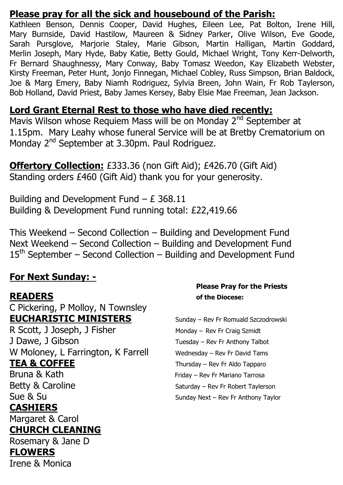### **Please pray for all the sick and housebound of the Parish:**

Kathleen Benson, Dennis Cooper, David Hughes, Eileen Lee, Pat Bolton, Irene Hill, Mary Burnside, David Hastilow, Maureen & Sidney Parker, Olive Wilson, Eve Goode, Sarah Pursglove, Marjorie Staley, Marie Gibson, Martin Halligan, Martin Goddard, Merlin Joseph, Mary Hyde, Baby Katie, Betty Gould, Michael Wright, Tony Kerr-Delworth, Fr Bernard Shaughnessy, Mary Conway, Baby Tomasz Weedon, Kay Elizabeth Webster, Kirsty Freeman, Peter Hunt, Jonjo Finnegan, Michael Cobley, Russ Simpson, Brian Baldock, Joe & Marg Emery, Baby Niamh Rodriguez, Sylvia Breen, John Wain, Fr Rob Taylerson, Bob Holland, David Priest, Baby James Kersey, Baby Elsie Mae Freeman, Jean Jackson.

#### **Lord Grant Eternal Rest to those who have died recently:**

Mavis Wilson whose Requiem Mass will be on Monday 2<sup>nd</sup> September at 1.15pm. Mary Leahy whose funeral Service will be at Bretby Crematorium on Monday 2<sup>nd</sup> September at 3.30pm. Paul Rodriguez.

**Offertory Collection:** £333.36 (non Gift Aid); £426.70 (Gift Aid) Standing orders £460 (Gift Aid) thank you for your generosity.

Building and Development Fund  $- E$  368.11 Building & Development Fund running total: £22,419.66

This Weekend – Second Collection – Building and Development Fund Next Weekend – Second Collection – Building and Development Fund  $15<sup>th</sup>$  September – Second Collection – Building and Development Fund

#### **For Next Sunday: -**

C Pickering, P Molloy, N Townsley **EUCHARISTIC MINISTERS** Sunday – Rev Fr Romuald Szczodrowski R Scott, J Joseph, J Fisher Monday – Rev Fr Craig Szmidt

W Moloney, L Farrington, K Farrell Wednesday - Rev Fr David Tams **TEA & COFFEE** Thursday – Rev Fr Aldo Tapparo Bruna & Kath Friday – Rev Fr Mariano Tarrosa

# **CASHIERS**

Margaret & Carol

#### **CHURCH CLEANING**

Rosemary & Jane D

## **FLOWERS**

Irene & Monica

#### **Please Pray for the Priests READERS of the Diocese:**

J Dawe, J Gibson Tuesday – Rev Fr Anthony Talbot Betty & Caroline Saturday – Rev Fr Robert Taylerson Sue & Su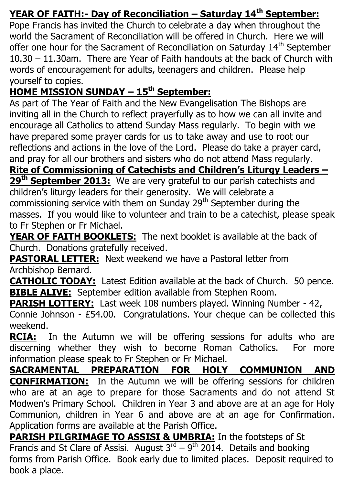# **YEAR OF FAITH:- Day of Reconciliation – Saturday 14th September:**

Pope Francis has invited the Church to celebrate a day when throughout the world the Sacrament of Reconciliation will be offered in Church. Here we will offer one hour for the Sacrament of Reconciliation on Saturday 14<sup>th</sup> September 10.30 – 11.30am. There are Year of Faith handouts at the back of Church with words of encouragement for adults, teenagers and children. Please help yourself to copies.

# **HOME MISSION SUNDAY – 15th September:**

As part of The Year of Faith and the New Evangelisation The Bishops are inviting all in the Church to reflect prayerfully as to how we can all invite and encourage all Catholics to attend Sunday Mass regularly. To begin with we have prepared some prayer cards for us to take away and use to root our reflections and actions in the love of the Lord. Please do take a prayer card, and pray for all our brothers and sisters who do not attend Mass regularly.

**Rite of Commissioning of Catechists and Children's Liturgy Leaders – 29th September 2013:** We are very grateful to our parish catechists and children's liturgy leaders for their generosity. We will celebrate a commissioning service with them on Sunday  $29<sup>th</sup>$  September during the masses. If you would like to volunteer and train to be a catechist, please speak to Fr Stephen or Fr Michael.

**YEAR OF FAITH BOOKLETS:** The next booklet is available at the back of Church. Donations gratefully received.

**PASTORAL LETTER:** Next weekend we have a Pastoral letter from Archbishop Bernard.

**CATHOLIC TODAY:** Latest Edition available at the back of Church. 50 pence. **BIBLE ALIVE:** September edition available from Stephen Room.

**PARISH LOTTERY:** Last week 108 numbers played. Winning Number - 42, Connie Johnson - £54.00. Congratulations. Your cheque can be collected this weekend.

**RCIA:** In the Autumn we will be offering sessions for adults who are discerning whether they wish to become Roman Catholics. For more information please speak to Fr Stephen or Fr Michael.

**SACRAMENTAL PREPARATION FOR HOLY COMMUNION AND CONFIRMATION:** In the Autumn we will be offering sessions for children who are at an age to prepare for those Sacraments and do not attend St Modwen's Primary School. Children in Year 3 and above are at an age for Holy Communion, children in Year 6 and above are at an age for Confirmation. Application forms are available at the Parish Office.

**PARISH PILGRIMAGE TO ASSISI & UMBRIA:** In the footsteps of St Francis and St Clare of Assisi. August  $3^{rd} - 9^{th}$  2014. Details and booking forms from Parish Office. Book early due to limited places. Deposit required to book a place.